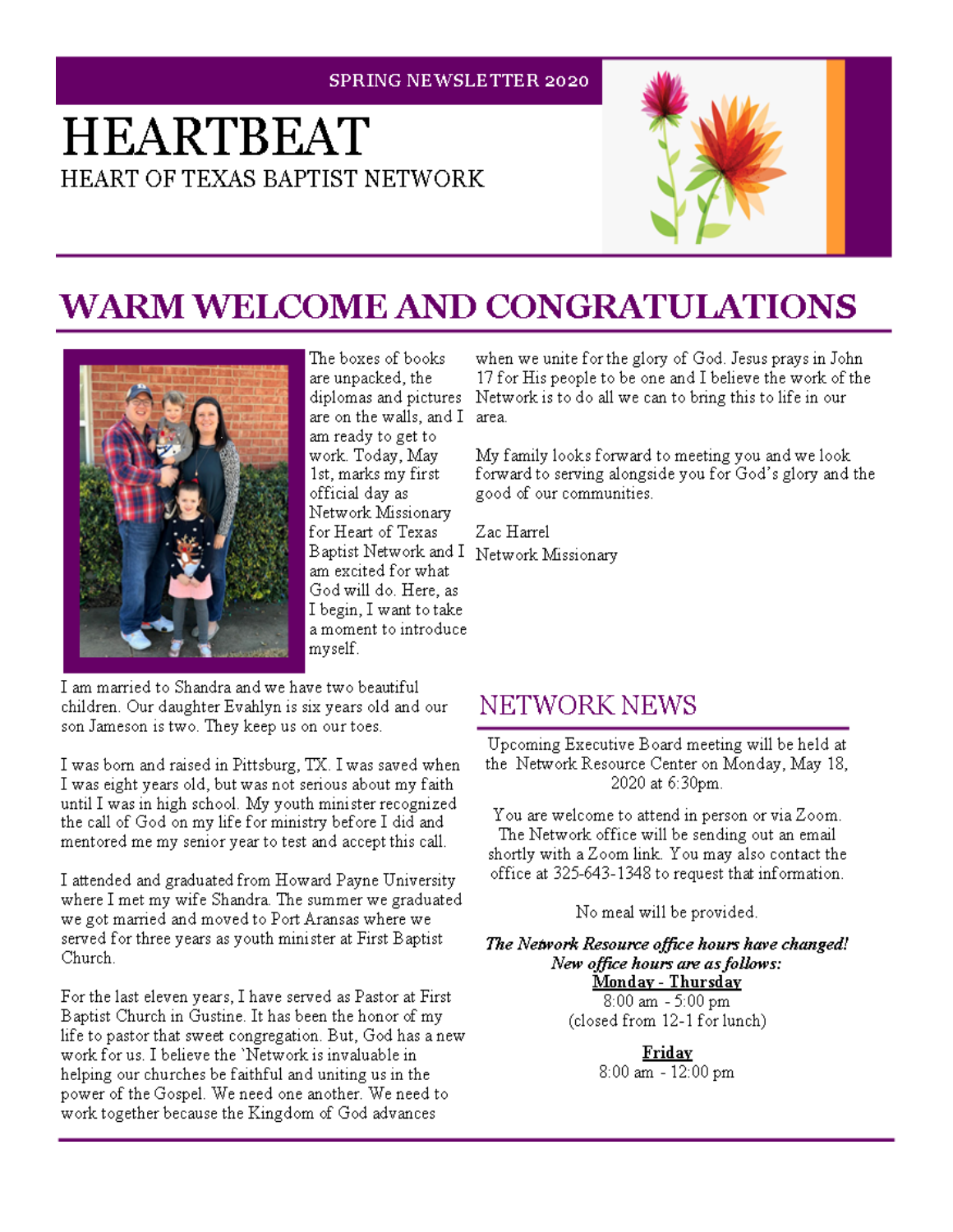#### **SPRING NEWSLETTER 2020**

# **HEARTBEAT** HEART OF TEXAS BAPTIST NETWORK



# **WARM WELCOME AND CONGRATULATIONS**



The boxes of books are unpacked, the are on the walls, and I area. am ready to get to work. Today, May 1st, marks my first official day as Network Missionary for Heart of Texas Baptist Network and I Network Missionary am excited for what God will do. Here, as I begin, I want to take a moment to introduce. myself.

when we unite for the glory of God. Jesus prays in John 17 for His people to be one and I believe the work of the diplomas and pictures Network is to do all we can to bring this to life in our

> My family looks forward to meeting you and we look forward to serving alongside you for God's glory and the good of our communities.

Zac Harrel

I am married to Shandra and we have two beautiful children. Our daughter Evahlyn is six years old and our son Jameson is two. They keep us on our toes.

I was born and raised in Pittsburg, TX. I was saved when I was eight years old, but was not serious about my faith. until I was in high school. My youth minister recognized the call of God on my life for ministry before I did and mentored me my senior year to test and accept this call.

I attended and graduated from Howard Payne University where I met my wife Shandra. The summer we graduated we got married and moved to Port Aransas where we served for three years as youth minister at First Baptist Church.

For the last eleven years, I have served as Pastor at First Baptist Church in Gustine. It has been the honor of my life to pastor that sweet congregation. But, God has a new work for us. I believe the 'Network is invaluable in helping our churches be faithful and uniting us in the power of the Gospel. We need one another. We need to work together because the Kingdom of God advances

### **NETWORK NEWS**

Upcoming Executive Board meeting will be held at the Network Resource Center on Monday, May 18, 2020 at 6:30pm.

You are welcome to attend in person or via Zoom. The Network office will be sending out an email shortly with a Zoom link. You may also contact the office at 325-643-1348 to request that information.

No meal will be provided.

The Network Resource office hours have changed! New office hours are as follows: <u> Monday - Thursday</u> 8:00 am - 5:00 pm (closed from 12-1 for lunch)

> **Friday** 8:00 am - 12:00 pm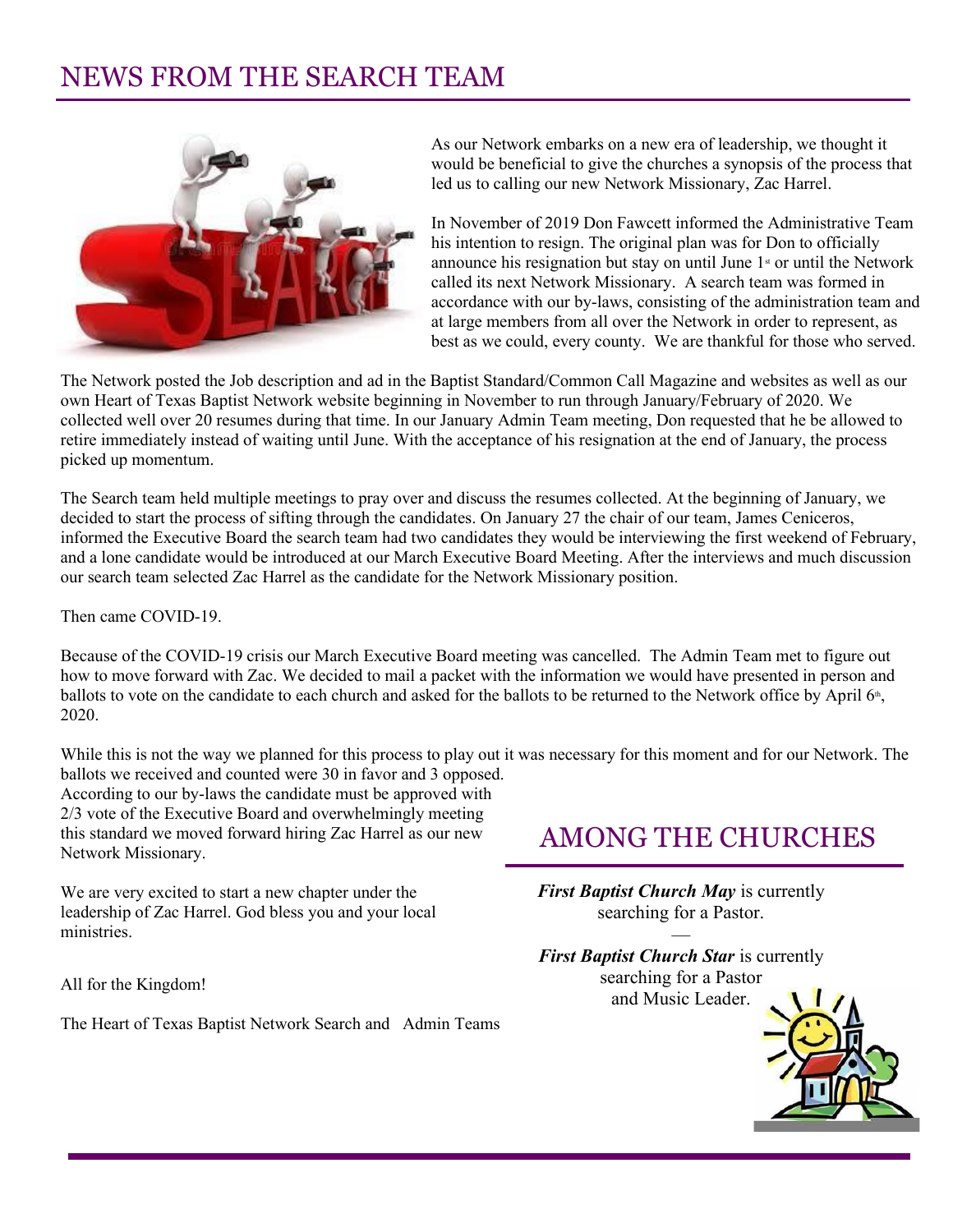### NEWS FROM THE SEARCH TEAM



As our Network embarks on a new era of leadership, we thought it would be beneficial to give the churches a synopsis of the process that led us to calling our new Network Missionary, Zac Harrel.

In November of 2019 Don Fawcett informed the Administrative Team his intention to resign. The original plan was for Don to officially announce his resignation but stay on until June  $1<sup>st</sup>$  or until the Network called its next Network Missionary. A search team was formed in accordance with our by-laws, consisting of the administration team and at large members from all over the Network in order to represent, as best as we could, every county. We are thankful for those who served.

The Network posted the Job description and ad in the Baptist Standard/Common Call Magazine and websites as well as our own Heart of Texas Baptist Network website beginning in November to run through January/February of 2020. We collected well over 20 resumes during that time. In our January Admin Team meeting, Don requested that he be allowed to retire immediately instead of waiting until June. With the acceptance of his resignation at the end of January, the process picked up momentum.

The Search team held multiple meetings to pray over and discuss the resumes collected. At the beginning of January, we decided to start the process of sifting through the candidates. On January 27 the chair of our team, James Ceniceros, informed the Executive Board the search team had two candidates they would be interviewing the first weekend of February, and a lone candidate would be introduced at our March Executive Board Meeting. After the interviews and much discussion our search team selected Zac Harrel as the candidate for the Network Missionary position.

Then came COVID-19.

Because of the COVID-19 crisis our March Executive Board meeting was cancelled. The Admin Team met to figure out how to move forward with Zac. We decided to mail a packet with the information we would have presented in person and ballots to vote on the candidate to each church and asked for the ballots to be returned to the Network office by April 6<sup>th</sup>, 2020.

While this is not the way we planned for this process to play out it was necessary for this moment and for our Network. The ballots we received and counted were 30 in favor and 3 opposed.

According to our by-laws the candidate must be approved with 2/3 vote of the Executive Board and overwhelmingly meeting this standard we moved forward hiring Zac Harrel as our new Network Missionary.

We are very excited to start a new chapter under the leadership of Zac Harrel. God bless you and your local ministries.

All for the Kingdom!

The Heart of Texas Baptist Network Search and Admin Teams

### AMONG THE CHURCHES

*First Baptist Church May* is currently searching for a Pastor.

 $\overline{\phantom{a}}$ 

*First Baptist Church Star* is currently searching for a Pastor and Music Leader.

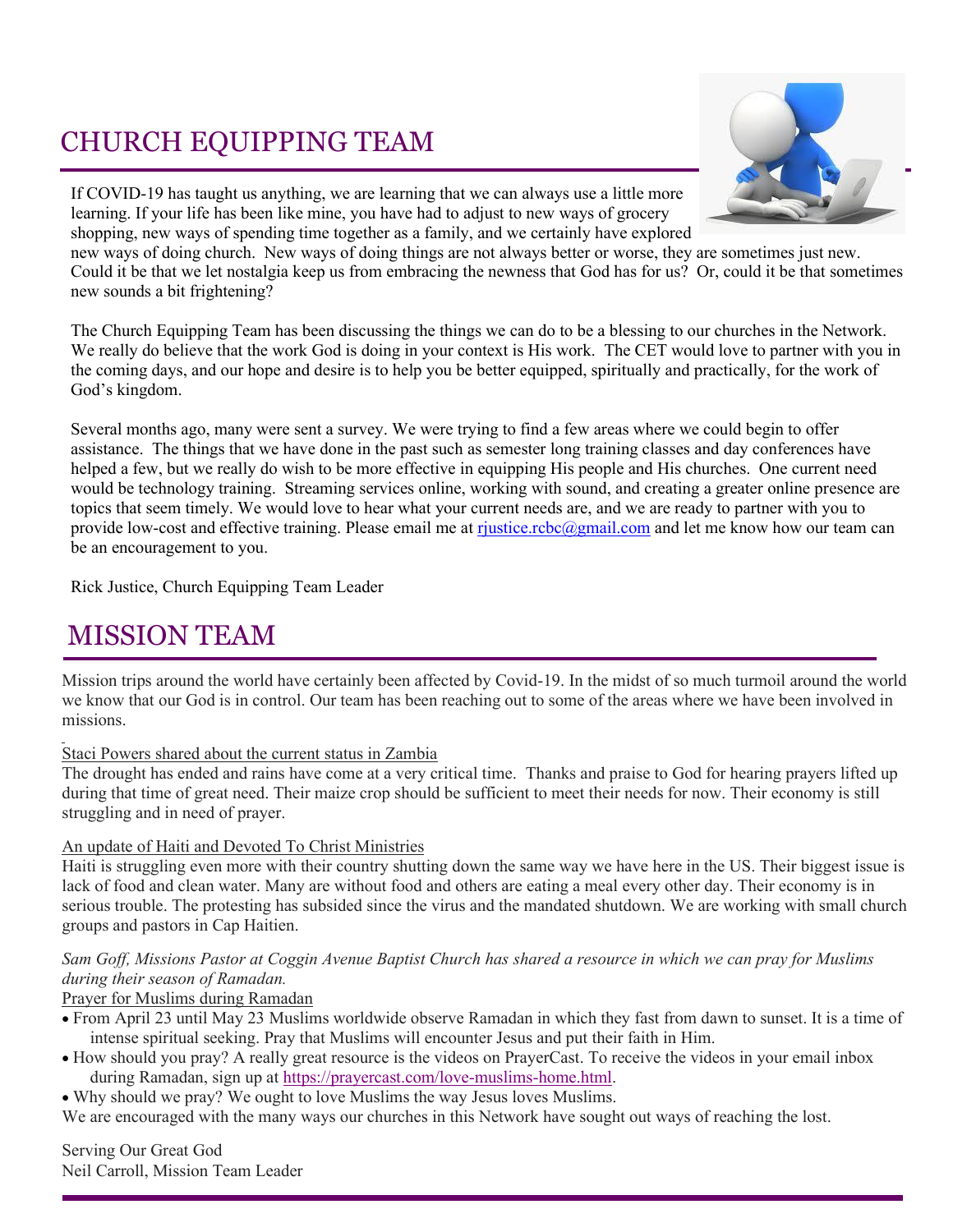## CHURCH EQUIPPING TEAM

If COVID-19 has taught us anything, we are learning that we can always use a little more learning. If your life has been like mine, you have had to adjust to new ways of grocery shopping, new ways of spending time together as a family, and we certainly have explored



new ways of doing church. New ways of doing things are not always better or worse, they are sometimes just new. Could it be that we let nostalgia keep us from embracing the newness that God has for us? Or, could it be that sometimes new sounds a bit frightening?

The Church Equipping Team has been discussing the things we can do to be a blessing to our churches in the Network. We really do believe that the work God is doing in your context is His work. The CET would love to partner with you in the coming days, and our hope and desire is to help you be better equipped, spiritually and practically, for the work of God's kingdom.

Several months ago, many were sent a survey. We were trying to find a few areas where we could begin to offer assistance. The things that we have done in the past such as semester long training classes and day conferences have helped a few, but we really do wish to be more effective in equipping His people and His churches. One current need would be technology training. Streaming services online, working with sound, and creating a greater online presence are topics that seem timely. We would love to hear what your current needs are, and we are ready to partner with you to provide low-cost and effective training. Please email me at [rjustice.rcbc@gmail.com](mailto:rjustice.rcbc@gmail.com) and let me know how our team can be an encouragement to you.

Rick Justice, Church Equipping Team Leader

### MISSION TEAM

Mission trips around the world have certainly been affected by Covid-19. In the midst of so much turmoil around the world we know that our God is in control. Our team has been reaching out to some of the areas where we have been involved in missions.

#### Staci Powers shared about the current status in Zambia

The drought has ended and rains have come at a very critical time. Thanks and praise to God for hearing prayers lifted up during that time of great need. Their maize crop should be sufficient to meet their needs for now. Their economy is still struggling and in need of prayer.

#### An update of Haiti and Devoted To Christ Ministries

Haiti is struggling even more with their country shutting down the same way we have here in the US. Their biggest issue is lack of food and clean water. Many are without food and others are eating a meal every other day. Their economy is in serious trouble. The protesting has subsided since the virus and the mandated shutdown. We are working with small church groups and pastors in Cap Haitien.

#### *Sam Goff, Missions Pastor at Coggin Avenue Baptist Church has shared a resource in which we can pray for Muslims during their season of Ramadan.*

#### Prayer for Muslims during Ramadan

- From April 23 until May 23 Muslims worldwide observe Ramadan in which they fast from dawn to sunset. It is a time of intense spiritual seeking. Pray that Muslims will encounter Jesus and put their faith in Him.
- How should you pray? A really great resource is the videos on PrayerCast. To receive the videos in your email inbox during Ramadan, sign up at [https://prayercast.com/love-muslims-home.html.](https://prayercast.com/love-muslims-home.html)
- Why should we pray? We ought to love Muslims the way Jesus loves Muslims.

We are encouraged with the many ways our churches in this Network have sought out ways of reaching the lost.

Serving Our Great God Neil Carroll, Mission Team Leader